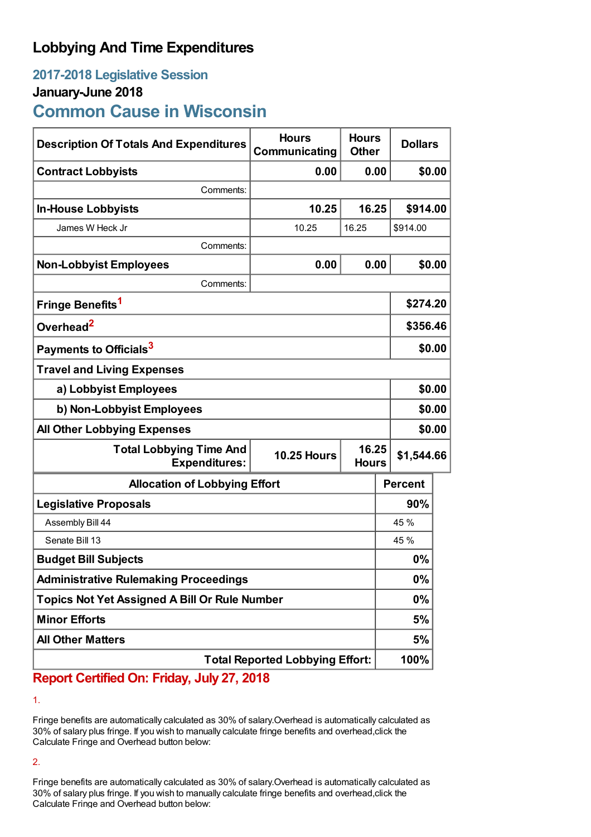## **Lobbying And Time Expenditures**

# **2017-2018 Legislative Session**

### **January-June 2018**

**Common Cause in Wisconsin**

| <b>Description Of Totals And Expenditures</b>                                 | <b>Hours</b><br>Communicating | <b>Hours</b><br><b>Other</b> | <b>Dollars</b> |  |
|-------------------------------------------------------------------------------|-------------------------------|------------------------------|----------------|--|
| <b>Contract Lobbyists</b>                                                     | 0.00                          | 0.00                         | \$0.00         |  |
| Comments:                                                                     |                               |                              |                |  |
| <b>In-House Lobbyists</b>                                                     | 10.25                         | 16.25                        | \$914.00       |  |
| James W Heck Jr                                                               | 10.25                         | 16.25                        | \$914.00       |  |
| Comments:                                                                     |                               |                              |                |  |
| <b>Non-Lobbyist Employees</b>                                                 | 0.00                          | 0.00                         | \$0.00         |  |
| Comments:                                                                     |                               |                              |                |  |
| Fringe Benefits <sup>1</sup>                                                  |                               |                              | \$274.20       |  |
| Overhead <sup>2</sup>                                                         |                               |                              | \$356.46       |  |
| Payments to Officials <sup>3</sup>                                            |                               |                              | \$0.00         |  |
| <b>Travel and Living Expenses</b>                                             |                               |                              |                |  |
| a) Lobbyist Employees                                                         |                               |                              | \$0.00         |  |
| b) Non-Lobbyist Employees                                                     |                               |                              | \$0.00         |  |
| <b>All Other Lobbying Expenses</b>                                            |                               |                              | \$0.00         |  |
| <b>Total Lobbying Time And</b><br><b>10.25 Hours</b><br><b>Expenditures:</b>  |                               | 16.25<br><b>Hours</b>        | \$1,544.66     |  |
| <b>Allocation of Lobbying Effort</b>                                          |                               |                              | <b>Percent</b> |  |
| <b>Legislative Proposals</b>                                                  |                               |                              | 90%            |  |
| Assembly Bill 44                                                              |                               |                              | 45 %           |  |
| Senate Bill 13                                                                |                               |                              | 45 %           |  |
| <b>Budget Bill Subjects</b>                                                   |                               |                              | 0%             |  |
| <b>Administrative Rulemaking Proceedings</b>                                  |                               |                              | 0%             |  |
| <b>Topics Not Yet Assigned A Bill Or Rule Number</b>                          |                               |                              | 0%             |  |
| <b>Minor Efforts</b>                                                          |                               |                              | 5%             |  |
| <b>All Other Matters</b>                                                      |                               |                              | 5%             |  |
| <b>Total Reported Lobbying Effort:</b><br>Contified One Exident July 27, 2040 |                               |                              | 100%           |  |

**Report Certified On: Friday, July 27, 2018**

1.

Fringe benefits are automatically calculated as 30% of salary.Overhead is automatically calculated as 30% of salary plus fringe. If you wish to manually calculate fringe benefits and overhead,click the Calculate Fringe and Overhead button below:

2.

Fringe benefits are automatically calculated as 30% of salary.Overhead is automatically calculated as 30% of salary plus fringe. If you wish to manually calculate fringe benefits and overhead,click the Calculate Fringe and Overhead button below: